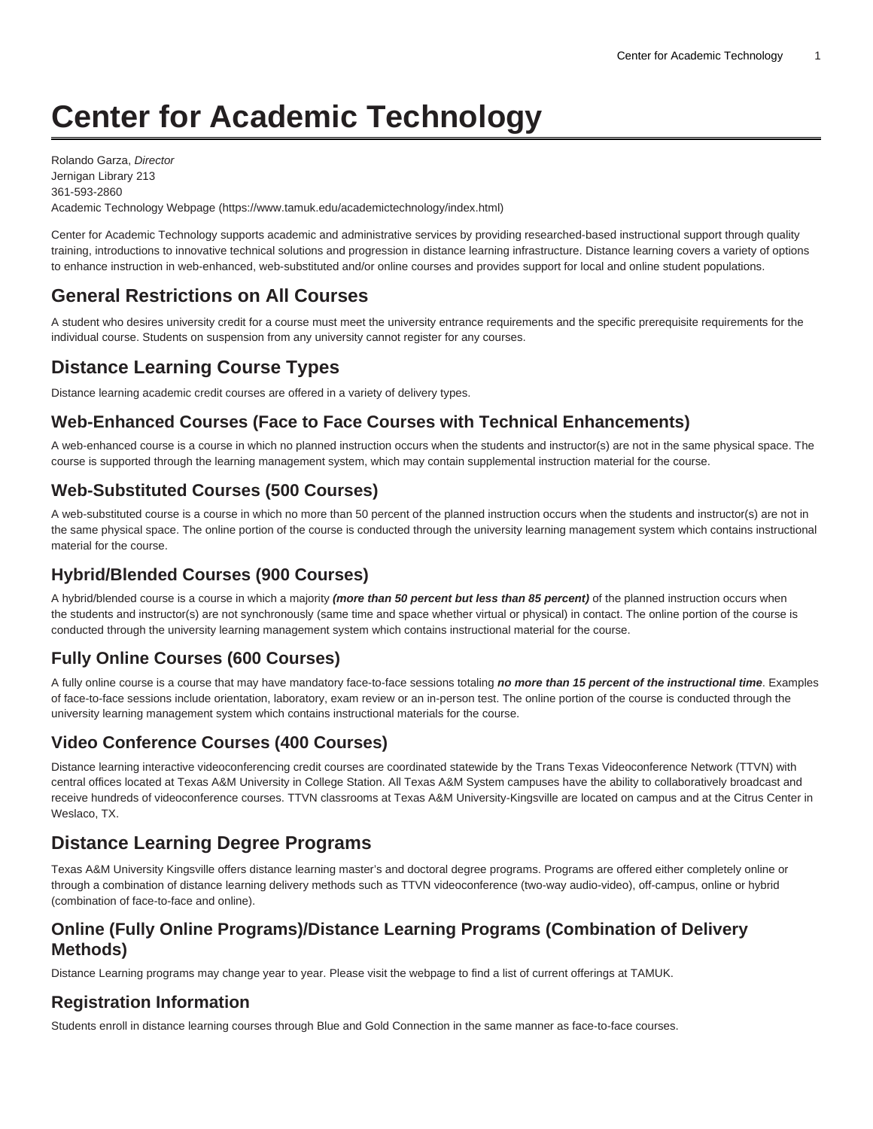# **Center for Academic Technology**

Rolando Garza, Director Jernigan Library 213 361-593-2860 Academic Technology Webpage [\(https://www.tamuk.edu/academictechnology/index.html\)](https://www.tamuk.edu/academictechnology/)

Center for Academic Technology supports academic and administrative services by providing researched-based instructional support through quality training, introductions to innovative technical solutions and progression in distance learning infrastructure. Distance learning covers a variety of options to enhance instruction in web-enhanced, web-substituted and/or online courses and provides support for local and online student populations.

## **General Restrictions on All Courses**

A student who desires university credit for a course must meet the university entrance requirements and the specific prerequisite requirements for the individual course. Students on suspension from any university cannot register for any courses.

## **Distance Learning Course Types**

Distance learning academic credit courses are offered in a variety of delivery types.

#### **Web-Enhanced Courses (Face to Face Courses with Technical Enhancements)**

A web-enhanced course is a course in which no planned instruction occurs when the students and instructor(s) are not in the same physical space. The course is supported through the learning management system, which may contain supplemental instruction material for the course.

#### **Web-Substituted Courses (500 Courses)**

A web-substituted course is a course in which no more than 50 percent of the planned instruction occurs when the students and instructor(s) are not in the same physical space. The online portion of the course is conducted through the university learning management system which contains instructional material for the course.

#### **Hybrid/Blended Courses (900 Courses)**

A hybrid/blended course is a course in which a majority **(more than 50 percent but less than 85 percent)** of the planned instruction occurs when the students and instructor(s) are not synchronously (same time and space whether virtual or physical) in contact. The online portion of the course is conducted through the university learning management system which contains instructional material for the course.

#### **Fully Online Courses (600 Courses)**

A fully online course is a course that may have mandatory face-to-face sessions totaling **no more than 15 percent of the instructional time**. Examples of face-to-face sessions include orientation, laboratory, exam review or an in-person test. The online portion of the course is conducted through the university learning management system which contains instructional materials for the course.

#### **Video Conference Courses (400 Courses)**

Distance learning interactive videoconferencing credit courses are coordinated statewide by the Trans Texas Videoconference Network (TTVN) with central offices located at Texas A&M University in College Station. All Texas A&M System campuses have the ability to collaboratively broadcast and receive hundreds of videoconference courses. TTVN classrooms at Texas A&M University-Kingsville are located on campus and at the Citrus Center in Weslaco, TX.

## **Distance Learning Degree Programs**

Texas A&M University Kingsville offers distance learning master's and doctoral degree programs. Programs are offered either completely online or through a combination of distance learning delivery methods such as TTVN videoconference (two-way audio-video), off-campus, online or hybrid (combination of face-to-face and online).

#### **Online (Fully Online Programs)/Distance Learning Programs (Combination of Delivery Methods)**

Distance Learning programs may change year to year. Please visit the [webpage](https://www.tamuk.edu/academictechnology/onlineprograms.html) to find a list of current offerings at TAMUK.

#### **Registration Information**

Students enroll in distance learning courses through Blue and Gold Connection in the same manner as face-to-face courses.